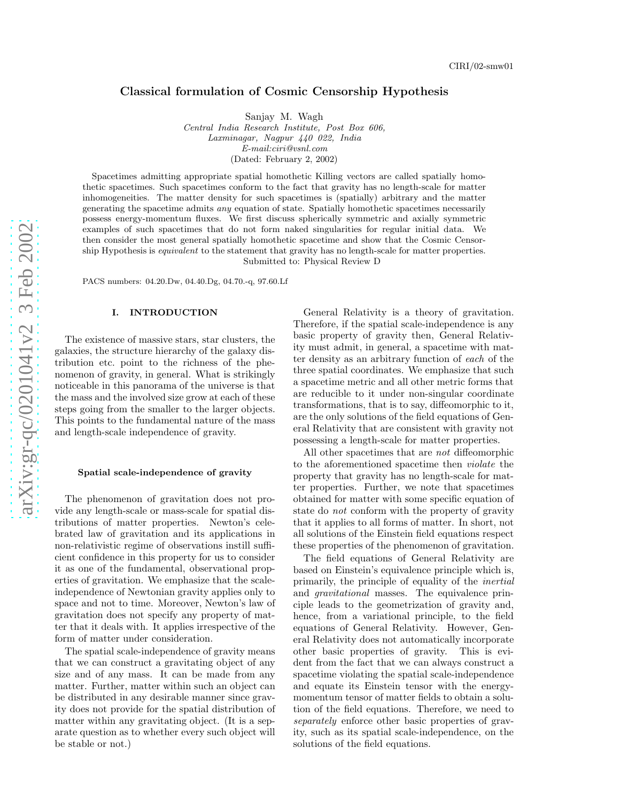# Classical formulation of Cosmic Censorship Hypothesis

Sanjay M. Wagh

*Central India Research Institute, Post Box 606, Laxminagar, Nagpur 440 022, India E-mail:ciri@vsnl.com* (Dated: February 2, 2002)

Spacetimes admitting appropriate spatial homothetic Killing vectors are called spatially homothetic spacetimes. Such spacetimes conform to the fact that gravity has no length-scale for matter inhomogeneities. The matter density for such spacetimes is (spatially) arbitrary and the matter generating the spacetime admits *any* equation of state. Spatially homothetic spacetimes necessarily possess energy-momentum fluxes. We first discuss spherically symmetric and axially symmetric examples of such spacetimes that do not form naked singularities for regular initial data. We then consider the most general spatially homothetic spacetime and show that the Cosmic Censorship Hypothesis is *equivalent* to the statement that gravity has no length-scale for matter properties. Submitted to: Physical Review D

PACS numbers: 04.20.Dw, 04.40.Dg, 04.70.-q, 97.60.Lf

### I. INTRODUCTION

The existence of massive stars, star clusters, the galaxies, the structure hierarchy of the galaxy distribution etc. point to the richness of the phenomenon of gravity, in general. What is strikingly noticeable in this panorama of the universe is that the mass and the involved size grow at each of these steps going from the smaller to the larger objects. This points to the fundamental nature of the mass and length-scale independence of gravity.

#### Spatial scale-independence of gravity

The phenomenon of gravitation does not provide any length-scale or mass-scale for spatial distributions of matter properties. Newton's celebrated law of gravitation and its applications in non-relativistic regime of observations instill sufficient confidence in this property for us to consider it as one of the fundamental, observational properties of gravitation. We emphasize that the scaleindependence of Newtonian gravity applies only to space and not to time. Moreover, Newton's law of gravitation does not specify any property of matter that it deals with. It applies irrespective of the form of matter under consideration.

The spatial scale-independence of gravity means that we can construct a gravitating object of any size and of any mass. It can be made from any matter. Further, matter within such an object can be distributed in any desirable manner since gravity does not provide for the spatial distribution of matter within any gravitating object. (It is a separate question as to whether every such object will be stable or not.)

General Relativity is a theory of gravitation. Therefore, if the spatial scale-independence is any basic property of gravity then, General Relativity must admit, in general, a spacetime with matter density as an arbitrary function of each of the three spatial coordinates. We emphasize that such a spacetime metric and all other metric forms that are reducible to it under non-singular coordinate transformations, that is to say, diffeomorphic to it, are the only solutions of the field equations of General Relativity that are consistent with gravity not possessing a length-scale for matter properties.

All other spacetimes that are not diffeomorphic to the aforementioned spacetime then violate the property that gravity has no length-scale for matter properties. Further, we note that spacetimes obtained for matter with some specific equation of state do not conform with the property of gravity that it applies to all forms of matter. In short, not all solutions of the Einstein field equations respect these properties of the phenomenon of gravitation.

The field equations of General Relativity are based on Einstein's equivalence principle which is, primarily, the principle of equality of the inertial and gravitational masses. The equivalence principle leads to the geometrization of gravity and, hence, from a variational principle, to the field equations of General Relativity. However, General Relativity does not automatically incorporate other basic properties of gravity. This is evident from the fact that we can always construct a spacetime violating the spatial scale-independence and equate its Einstein tensor with the energymomentum tensor of matter fields to obtain a solution of the field equations. Therefore, we need to separately enforce other basic properties of gravity, such as its spatial scale-independence, on the solutions of the field equations.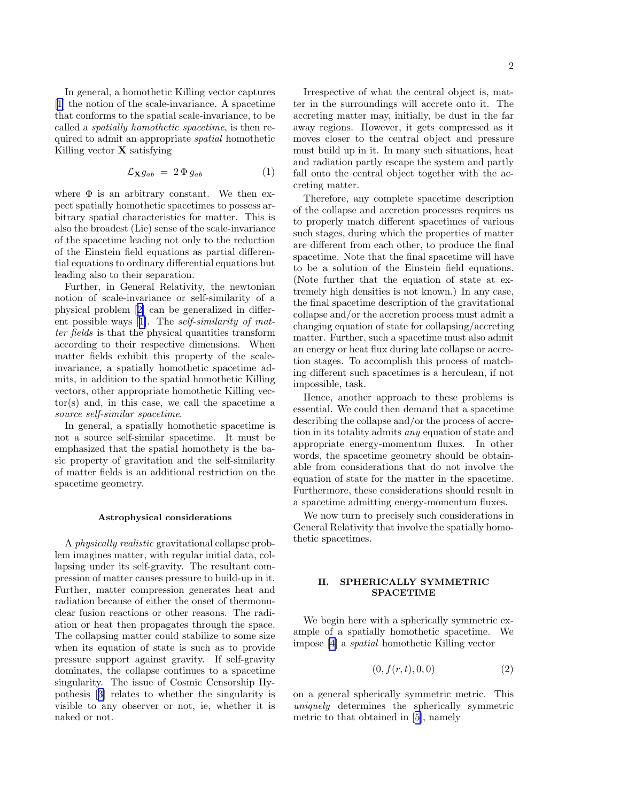<span id="page-1-0"></span>In general, a homothetic Killing vector captures [[1\]](#page-10-0) the notion of the scale-invariance. A spacetime that conforms to the spatial scale-invariance, to be called a spatially homothetic spacetime, is then required to admit an appropriate spatial homothetic Killing vector  $X$  satisfying

$$
\mathcal{L}_{\mathbf{X}}g_{ab} = 2 \Phi g_{ab} \tag{1}
$$

where  $\Phi$  is an arbitrary constant. We then expect spatially homothetic spacetimes to possess arbitrary spatial characteristics for matter. This is also the broadest (Lie) sense of the scale-invariance of the spacetime leading not only to the reduction of the Einstein field equations as partial differential equations to ordinary differential equations but leading also to their separation.

Further, in General Relativity, the newtonian notion of scale-invariance or self-similarity of a physical problem[[2\]](#page-10-0) can be generalized in different possible ways[[1\]](#page-10-0). The self-similarity of matter fields is that the physical quantities transform according to their respective dimensions. When matter fields exhibit this property of the scaleinvariance, a spatially homothetic spacetime admits, in addition to the spatial homothetic Killing vectors, other appropriate homothetic Killing vector(s) and, in this case, we call the spacetime a source self-similar spacetime.

In general, a spatially homothetic spacetime is not a source self-similar spacetime. It must be emphasized that the spatial homothety is the basic property of gravitation and the self-similarity of matter fields is an additional restriction on the spacetime geometry.

### Astrophysical considerations

A physically realistic gravitational collapse problem imagines matter, with regular initial data, collapsing under its self-gravity. The resultant compression of matter causes pressure to build-up in it. Further, matter compression generates heat and radiation because of either the onset of thermonuclear fusion reactions or other reasons. The radiation or heat then propagates through the space. The collapsing matter could stabilize to some size when its equation of state is such as to provide pressure support against gravity. If self-gravity dominates, the collapse continues to a spacetime singularity. The issue of Cosmic Censorship Hypothesis[[3\]](#page-10-0) relates to whether the singularity is visible to any observer or not, ie, whether it is naked or not.

Irrespective of what the central object is, matter in the surroundings will accrete onto it. The accreting matter may, initially, be dust in the far away regions. However, it gets compressed as it moves closer to the central object and pressure must build up in it. In many such situations, heat and radiation partly escape the system and partly

Therefore, any complete spacetime description of the collapse and accretion processes requires us to properly match different spacetimes of various such stages, during which the properties of matter are different from each other, to produce the final spacetime. Note that the final spacetime will have to be a solution of the Einstein field equations. (Note further that the equation of state at extremely high densities is not known.) In any case, the final spacetime description of the gravitational collapse and/or the accretion process must admit a changing equation of state for collapsing/accreting matter. Further, such a spacetime must also admit an energy or heat flux during late collapse or accretion stages. To accomplish this process of matching different such spacetimes is a herculean, if not impossible, task.

fall onto the central object together with the ac-

creting matter.

Hence, another approach to these problems is essential. We could then demand that a spacetime describing the collapse and/or the process of accretion in its totality admits any equation of state and appropriate energy-momentum fluxes. In other words, the spacetime geometry should be obtainable from considerations that do not involve the equation of state for the matter in the spacetime. Furthermore, these considerations should result in a spacetime admitting energy-momentum fluxes.

We now turn to precisely such considerations in General Relativity that involve the spatially homothetic spacetimes.

### II. SPHERICALLY SYMMETRIC SPACETIME

We begin here with a spherically symmetric example of a spatially homothetic spacetime. We impose [\[4](#page-10-0)] a spatial homothetic Killing vector

$$
(0, f(r, t), 0, 0) \tag{2}
$$

on a general spherically symmetric metric. This uniquely determines the spherically symmetric metric to that obtained in[[5\]](#page-10-0), namely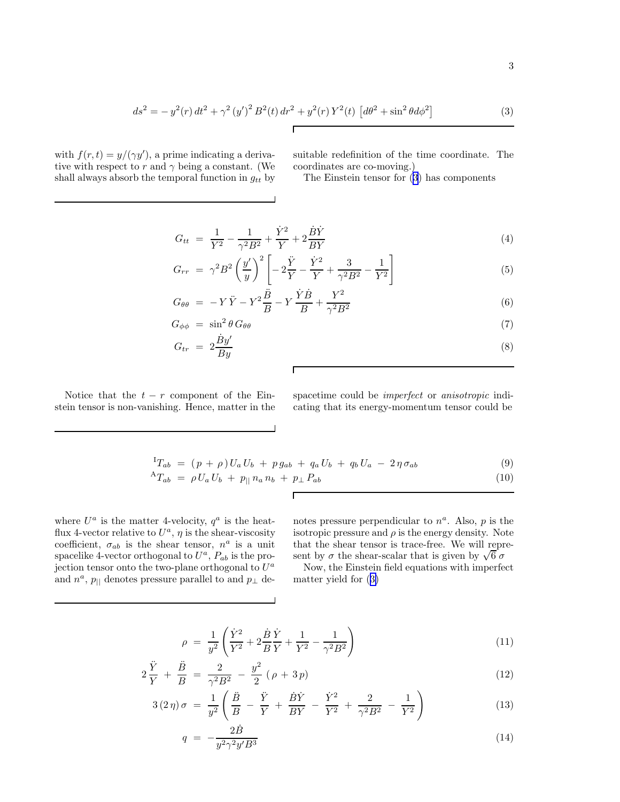$$
ds^{2} = -y^{2}(r) dt^{2} + \gamma^{2} (y')^{2} B^{2}(t) dr^{2} + y^{2}(r) Y^{2}(t) [d\theta^{2} + \sin^{2} \theta d\phi^{2}]
$$
 (3)

<span id="page-2-0"></span>with  $f(r, t) = y/(\gamma y')$ , a prime indicating a derivative with respect to r and  $\gamma$  being a constant. (We shall always absorb the temporal function in  $g_{tt}$  by suitable redefinition of the time coordinate. The coordinates are co-moving.)

The Einstein tensor for (3) has components

$$
G_{tt} = \frac{1}{Y^2} - \frac{1}{\gamma^2 B^2} + \frac{\dot{Y}^2}{Y} + 2\frac{\dot{B}\dot{Y}}{BY}
$$
(4)

$$
G_{rr} = \gamma^2 B^2 \left(\frac{y'}{y}\right)^2 \left[ -2\frac{\ddot{Y}}{Y} - \frac{\dot{Y}^2}{Y} + \frac{3}{\gamma^2 B^2} - \frac{1}{Y^2} \right]
$$
(5)

$$
G_{\theta\theta} = -Y\ddot{Y} - Y^2\frac{\ddot{B}}{B} - Y\frac{\dot{Y}\dot{B}}{B} + \frac{Y^2}{\gamma^2 B^2}
$$
\n(6)

$$
G_{\phi\phi} = \sin^2\theta \, G_{\theta\theta} \tag{7}
$$

$$
G_{tr} = 2\frac{\dot{B}y'}{By} \tag{8}
$$

Г

 $\Gamma$ 

 $\overline{\phantom{0}}$ 

Notice that the  $t - r$  component of the Einstein tensor is non-vanishing. Hence, matter in the spacetime could be imperfect or anisotropic indicating that its energy-momentum tensor could be

$$
{}^{I}T_{ab} = (p + \rho) U_a U_b + p g_{ab} + q_a U_b + q_b U_a - 2 \eta \sigma_{ab}
$$
\n(9)

$$
{}^{A}T_{ab} = \rho U_a U_b + p_{||} n_a n_b + p_{\perp} P_{ab} \tag{10}
$$

where  $U^a$  is the matter 4-velocity,  $q^a$  is the heatflux 4-vector relative to  $U^a$ ,  $\eta$  is the shear-viscosity coefficient,  $\sigma_{ab}$  is the shear tensor,  $n^a$  is a unit spacelike 4-vector orthogonal to  $U^a$ ,  $P_{ab}$  is the projection tensor onto the two-plane orthogonal to  $U^a$ and  $n^a$ ,  $p_{\parallel}$  denotes pressure parallel to and  $p_{\perp}$  de-

notes pressure perpendicular to  $n^a$ . Also, p is the isotropic pressure and  $\rho$  is the energy density. Note that the shear tensor is trace-free. We will represent by  $\sigma$  the shear-scalar that is given by  $\sqrt{6} \sigma$ 

Now, the Einstein field equations with imperfect matter yield for (3)

$$
\rho = \frac{1}{y^2} \left( \frac{\dot{Y}^2}{Y^2} + 2 \frac{\dot{B}}{B} \frac{\dot{Y}}{Y} + \frac{1}{Y^2} - \frac{1}{\gamma^2 B^2} \right)
$$
(11)

$$
2\frac{\ddot{Y}}{Y} + \frac{\ddot{B}}{B} = \frac{2}{\gamma^2 B^2} - \frac{y^2}{2} (\rho + 3p) \tag{12}
$$

$$
3(2\,\eta)\,\sigma\ =\ \frac{1}{y^2}\left(\frac{\ddot{B}}{B}\ -\ \frac{\ddot{Y}}{Y}\ +\ \frac{\dot{B}\dot{Y}}{BY}\ -\ \frac{\dot{Y}^2}{Y^2}\ +\ \frac{2}{\gamma^2B^2}\ -\ \frac{1}{Y^2}\right) \tag{13}
$$

$$
q = -\frac{2B}{y^2 \gamma^2 y' B^3} \tag{14}
$$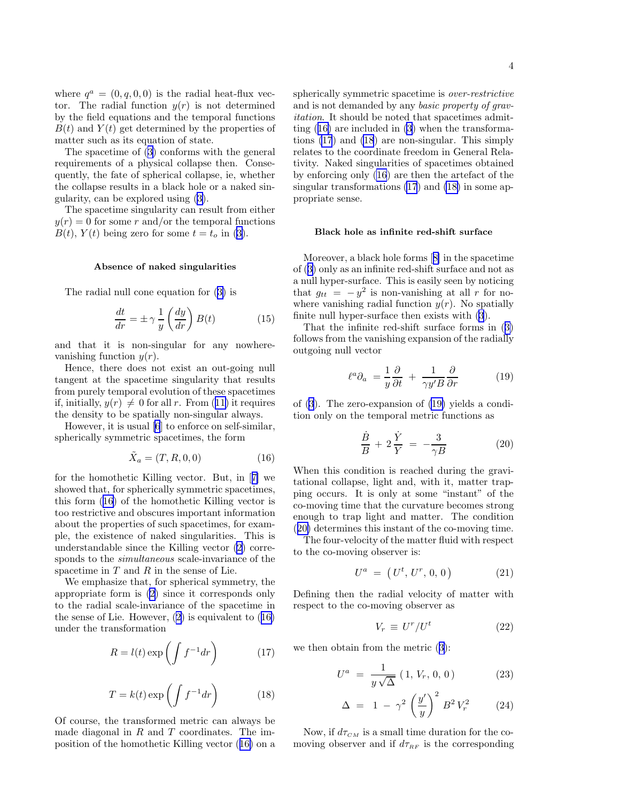4

<span id="page-3-0"></span>where  $q^a = (0, q, 0, 0)$  is the radial heat-flux vector. The radial function  $y(r)$  is not determined by the field equations and the temporal functions  $B(t)$  and  $Y(t)$  get determined by the properties of matter such as its equation of state.

The spacetime of([3\)](#page-2-0) conforms with the general requirements of a physical collapse then. Consequently, the fate of spherical collapse, ie, whether the collapse results in a black hole or a naked singularity, can be explored using([3\)](#page-2-0).

The spacetime singularity can result from either  $y(r) = 0$  for some r and/or the temporal functions  $B(t)$ ,  $Y(t)$  being zero for some  $t = t_o$  in [\(3](#page-2-0)).

### Absence of naked singularities

The radial null cone equation for([3\)](#page-2-0) is

$$
\frac{dt}{dr} = \pm \gamma \frac{1}{y} \left(\frac{dy}{dr}\right) B(t) \tag{15}
$$

and that it is non-singular for any nowherevanishing function  $y(r)$ .

Hence, there does not exist an out-going null tangent at the spacetime singularity that results from purely temporal evolution of these spacetimes if,initially,  $y(r) \neq 0$  for all r. From ([11\)](#page-2-0) it requires the density to be spatially non-singular always.

However, it is usual [\[6](#page-10-0)] to enforce on self-similar, spherically symmetric spacetimes, the form

$$
\tilde{X}_a = (T, R, 0, 0) \tag{16}
$$

for the homothetic Killing vector. But, in[[7\]](#page-10-0) we showed that, for spherically symmetric spacetimes, this form (16) of the homothetic Killing vector is too restrictive and obscures important information about the properties of such spacetimes, for example, the existence of naked singularities. This is understandable since the Killing vector [\(2](#page-1-0)) corresponds to the *simultaneous* scale-invariance of the spacetime in  $T$  and  $R$  in the sense of Lie.

We emphasize that, for spherical symmetry, the appropriate form is [\(2](#page-1-0)) since it corresponds only to the radial scale-invariance of the spacetime in thesense of Lie. However,  $(2)$  $(2)$  is equivalent to  $(16)$ under the transformation

$$
R = l(t) \exp\left(\int f^{-1} dr\right) \tag{17}
$$

$$
T = k(t) \exp\left(\int f^{-1} dr\right) \tag{18}
$$

Of course, the transformed metric can always be made diagonal in  $R$  and  $T$  coordinates. The imposition of the homothetic Killing vector (16) on a spherically symmetric spacetime is over-restrictive and is not demanded by any basic property of gravitation. It should be noted that spacetimes admitting (16) are included in [\(3](#page-2-0)) when the transformations (17) and (18) are non-singular. This simply relates to the coordinate freedom in General Relativity. Naked singularities of spacetimes obtained by enforcing only (16) are then the artefact of the singular transformations (17) and (18) in some appropriate sense.

### Black hole as infinite red-shift surface

Moreover, a black hole forms[[8\]](#page-10-0) in the spacetime of([3\)](#page-2-0) only as an infinite red-shift surface and not as a null hyper-surface. This is easily seen by noticing that  $g_{tt} = -y^2$  is non-vanishing at all r for nowhere vanishing radial function  $y(r)$ . No spatially finite null hyper-surface then exists with [\(3](#page-2-0)).

That the infinite red-shift surface forms in([3\)](#page-2-0) follows from the vanishing expansion of the radially outgoing null vector

$$
\ell^a \partial_a = \frac{1}{y} \frac{\partial}{\partial t} + \frac{1}{\gamma y' B} \frac{\partial}{\partial r} \tag{19}
$$

of [\(3](#page-2-0)). The zero-expansion of (19) yields a condition only on the temporal metric functions as

$$
\frac{\dot{B}}{B} + 2\frac{\dot{Y}}{Y} = -\frac{3}{\gamma B} \tag{20}
$$

When this condition is reached during the gravitational collapse, light and, with it, matter trapping occurs. It is only at some "instant" of the co-moving time that the curvature becomes strong enough to trap light and matter. The condition (20) determines this instant of the co-moving time.

The four-velocity of the matter fluid with respect to the co-moving observer is:

$$
U^a = (U^t, U^r, 0, 0) \tag{21}
$$

Defining then the radial velocity of matter with respect to the co-moving observer as

$$
V_r \equiv U^r / U^t \tag{22}
$$

we then obtain from the metric([3\)](#page-2-0):

$$
U^{a} = \frac{1}{y\sqrt{\Delta}} (1, V_{r}, 0, 0) \qquad (23)
$$

$$
\Delta = 1 - \gamma^2 \left(\frac{y'}{y}\right)^2 B^2 V_r^2 \qquad (24)
$$

Now, if  $d\tau_{CM}$  is a small time duration for the comoving observer and if  $d\tau_{RF}$  is the corresponding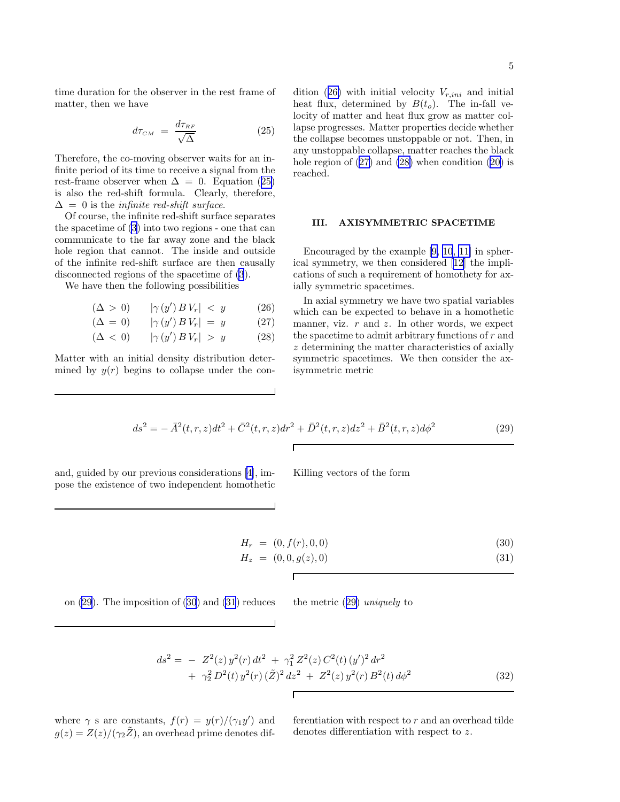<span id="page-4-0"></span>time duration for the observer in the rest frame of matter, then we have

$$
d\tau_{\scriptscriptstyle CM} \ = \ \frac{d\tau_{\scriptscriptstyle RF}}{\sqrt{\Delta}} \tag{25}
$$

Therefore, the co-moving observer waits for an infinite period of its time to receive a signal from the rest-frame observer when  $\Delta = 0$ . Equation (25) is also the red-shift formula. Clearly, therefore,  $\Delta = 0$  is the *infinite red-shift surface*.

Of course, the infinite red-shift surface separates the spacetime of [\(3](#page-2-0)) into two regions - one that can communicate to the far away zone and the black hole region that cannot. The inside and outside of the infinite red-shift surface are then causally disconnected regions of the spacetime of [\(3](#page-2-0)).

We have then the following possibilities

$$
(\Delta > 0) \qquad |\gamma(y') B V_r| < y \qquad (26)
$$
\n
$$
(\Delta = 0) \qquad |\gamma(y') B V_r| = y \qquad (27)
$$

 $(\Delta < 0)$  | $\gamma(y')$   $BV_r$ | > y (28)

Matter with an initial density distribution determined by  $y(r)$  begins to collapse under the con-

dition (26) with initial velocity  $V_{r,ini}$  and initial heat flux, determined by  $B(t_o)$ . The in-fall velocity of matter and heat flux grow as matter collapse progresses. Matter properties decide whether the collapse becomes unstoppable or not. Then, in any unstoppable collapse, matter reaches the black hole region of  $(27)$  and  $(28)$  when condition  $(20)$  is reached.

## III. AXISYMMETRIC SPACETIME

Encouraged by the example [\[9, 10](#page-10-0), [11\]](#page-10-0) in spherical symmetry, we then considered[[12\]](#page-10-0) the implications of such a requirement of homothety for axially symmetric spacetimes.

In axial symmetry we have two spatial variables which can be expected to behave in a homothetic manner, viz.  $r$  and  $z$ . In other words, we expect the spacetime to admit arbitrary functions of  $r$  and z determining the matter characteristics of axially symmetric spacetimes. We then consider the axisymmetric metric

$$
ds^{2} = -\bar{A}^{2}(t, r, z)dt^{2} + \bar{C}^{2}(t, r, z)dr^{2} + \bar{D}^{2}(t, r, z)dz^{2} + \bar{B}^{2}(t, r, z)d\phi^{2}
$$
\n(29)

Г

and, guided by our previous considerations[[4\]](#page-10-0), impose the existence of two independent homothetic Killing vectors of the form

$$
H_r = (0, f(r), 0, 0) \tag{30}
$$

$$
H_z = (0, 0, g(z), 0) \tag{31}
$$

on 
$$
(29)
$$
. The imposition of  $(30)$  and  $(31)$  reduces the metric  $(29)$  uniquely to

$$
ds^{2} = - Z^{2}(z) y^{2}(r) dt^{2} + \gamma_{1}^{2} Z^{2}(z) C^{2}(t) (y')^{2} dr^{2}
$$
  
+ 
$$
\gamma_{2}^{2} D^{2}(t) y^{2}(r) (\tilde{Z})^{2} dz^{2} + Z^{2}(z) y^{2}(r) B^{2}(t) d\phi^{2}
$$
 (32)

Г

where  $\gamma$  s are constants,  $f(r) = y(r)/(\gamma_1 y')$  and  $g(z) = Z(z)/(\gamma_2 \tilde{Z})$ , an overhead prime denotes differentiation with respect to  $r$  and an overhead tilde denotes differentiation with respect to z.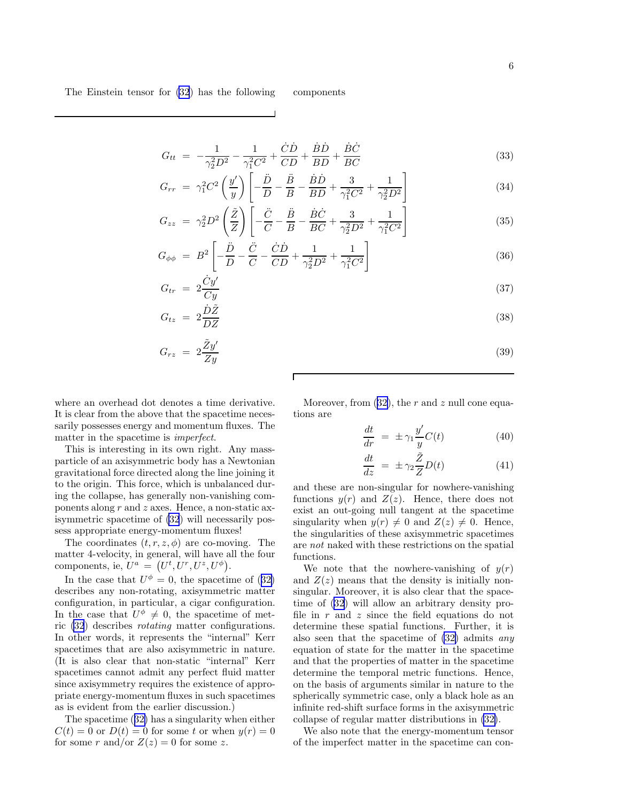$$
G_{tt} = -\frac{1}{\gamma_2^2 D^2} - \frac{1}{\gamma_1^2 C^2} + \frac{\dot{C}\dot{D}}{CD} + \frac{\dot{B}\dot{D}}{BD} + \frac{\dot{B}\dot{C}}{BC}
$$
(33)

$$
G_{rr} = \gamma_1^2 C^2 \left(\frac{y'}{y}\right) \left[ -\frac{\ddot{D}}{D} - \frac{\ddot{B}}{B} - \frac{\dot{B}\dot{D}}{BD} + \frac{3}{\gamma_1^2 C^2} + \frac{1}{\gamma_2^2 D^2} \right]
$$
(34)

$$
G_{zz} = \gamma_2^2 D^2 \left(\frac{\tilde{Z}}{Z}\right) \left[ -\frac{\ddot{C}}{C} - \frac{\ddot{B}}{B} - \frac{\dot{B}\dot{C}}{BC} + \frac{3}{\gamma_2^2 D^2} + \frac{1}{\gamma_1^2 C^2} \right]
$$
(35)

$$
G_{\phi\phi} = B^2 \left[ -\frac{\ddot{D}}{D} - \frac{\ddot{C}}{C} - \frac{\dot{C}\dot{D}}{CD} + \frac{1}{\gamma_2^2 D^2} + \frac{1}{\gamma_1^2 C^2} \right]
$$
(36)

$$
G_{tr} = 2 \frac{\dot{C}y'}{Cy} \tag{37}
$$

$$
G_{tz} = 2\frac{\dot{D}\tilde{Z}}{DZ} \tag{38}
$$

$$
G_{rz} = 2\frac{\tilde{Z}y'}{Zy} \tag{39}
$$

where an overhead dot denotes a time derivative. It is clear from the above that the spacetime necessarily possesses energy and momentum fluxes. The matter in the spacetime is imperfect.

This is interesting in its own right. Any massparticle of an axisymmetric body has a Newtonian gravitational force directed along the line joining it to the origin. This force, which is unbalanced during the collapse, has generally non-vanishing components along  $r$  and  $z$  axes. Hence, a non-static axisymmetric spacetime of [\(32](#page-4-0)) will necessarily possess appropriate energy-momentum fluxes!

The coordinates  $(t, r, z, \phi)$  are co-moving. The matter 4-velocity, in general, will have all the four components, ie,  $U^a = (U^t, U^r, U^z, U^{\phi}).$ 

Inthe case that  $U^{\phi} = 0$ , the spacetime of ([32\)](#page-4-0) describes any non-rotating, axisymmetric matter configuration, in particular, a cigar configuration. In the case that  $U^{\phi} \neq 0$ , the spacetime of metric [\(32](#page-4-0)) describes rotating matter configurations. In other words, it represents the "internal" Kerr spacetimes that are also axisymmetric in nature. (It is also clear that non-static "internal" Kerr spacetimes cannot admit any perfect fluid matter since axisymmetry requires the existence of appropriate energy-momentum fluxes in such spacetimes as is evident from the earlier discussion.)

The spacetime([32\)](#page-4-0) has a singularity when either  $C(t) = 0$  or  $D(t) = 0$  for some t or when  $y(r) = 0$ for some r and/or  $Z(z) = 0$  for some z.

Moreover,from  $(32)$  $(32)$ , the r and z null cone equations are

$$
\frac{dt}{dr} = \pm \gamma_1 \frac{y'}{y} C(t) \tag{40}
$$

$$
\frac{dt}{dz} = \pm \gamma_2 \frac{\tilde{Z}}{Z} D(t) \tag{41}
$$

and these are non-singular for nowhere-vanishing functions  $y(r)$  and  $Z(z)$ . Hence, there does not exist an out-going null tangent at the spacetime singularity when  $y(r) \neq 0$  and  $Z(z) \neq 0$ . Hence, the singularities of these axisymmetric spacetimes are not naked with these restrictions on the spatial functions.

We note that the nowhere-vanishing of  $y(r)$ and  $Z(z)$  means that the density is initially nonsingular. Moreover, it is also clear that the spacetime of [\(32](#page-4-0)) will allow an arbitrary density profile in  $r$  and  $z$  since the field equations do not determine these spatial functions. Further, it is also seen that the spacetime of [\(32\)](#page-4-0) admits any equation of state for the matter in the spacetime and that the properties of matter in the spacetime determine the temporal metric functions. Hence, on the basis of arguments similar in nature to the spherically symmetric case, only a black hole as an infinite red-shift surface forms in the axisymmetric collapse of regular matter distributions in [\(32\)](#page-4-0).

We also note that the energy-momentum tensor of the imperfect matter in the spacetime can con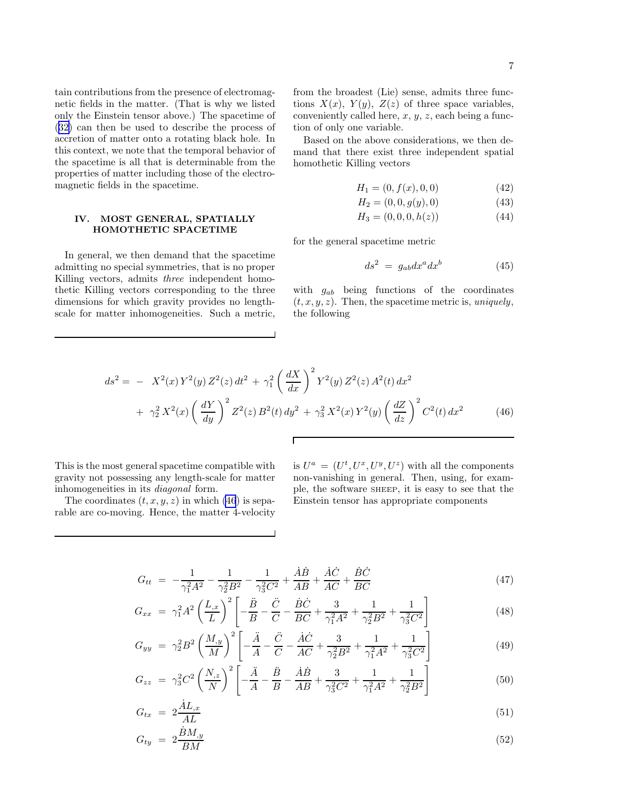<span id="page-6-0"></span>tain contributions from the presence of electromagnetic fields in the matter. (That is why we listed only the Einstein tensor above.) The spacetime of ([32\)](#page-4-0) can then be used to describe the process of accretion of matter onto a rotating black hole. In this context, we note that the temporal behavior of the spacetime is all that is determinable from the properties of matter including those of the electromagnetic fields in the spacetime.

## IV. MOST GENERAL, SPATIALLY HOMOTHETIC SPACETIME

In general, we then demand that the spacetime admitting no special symmetries, that is no proper Killing vectors, admits three independent homothetic Killing vectors corresponding to the three dimensions for which gravity provides no lengthscale for matter inhomogeneities. Such a metric,

from the broadest (Lie) sense, admits three functions  $X(x)$ ,  $Y(y)$ ,  $Z(z)$  of three space variables, conveniently called here,  $x, y, z$ , each being a function of only one variable.

Based on the above considerations, we then demand that there exist three independent spatial homothetic Killing vectors

$$
H_1 = (0, f(x), 0, 0) \tag{42}
$$

$$
H_2 = (0, 0, g(y), 0) \tag{43}
$$

$$
H_3 = (0, 0, 0, h(z)) \tag{44}
$$

for the general spacetime metric

$$
ds^2 = g_{ab} dx^a dx^b \tag{45}
$$

with  $g_{ab}$  being functions of the coordinates  $(t, x, y, z)$ . Then, the spacetime metric is, uniquely, the following

$$
ds^{2} = -X^{2}(x)Y^{2}(y)Z^{2}(z)dt^{2} + \gamma_{1}^{2} \left(\frac{dX}{dx}\right)^{2} Y^{2}(y)Z^{2}(z)A^{2}(t)dx^{2}
$$

$$
+ \gamma_{2}^{2} X^{2}(x) \left(\frac{dY}{dy}\right)^{2} Z^{2}(z)B^{2}(t)dy^{2} + \gamma_{3}^{2} X^{2}(x)Y^{2}(y) \left(\frac{dZ}{dz}\right)^{2} C^{2}(t)dx^{2}
$$
(46)

Г

This is the most general spacetime compatible with gravity not possessing any length-scale for matter inhomogeneities in its diagonal form.

The coordinates  $(t, x, y, z)$  in which (46) is separable are co-moving. Hence, the matter 4-velocity

is  $U^a = (U^t, U^x, U^y, U^z)$  with all the components non-vanishing in general. Then, using, for example, the software SHEEP, it is easy to see that the Einstein tensor has appropriate components

$$
G_{tt} = -\frac{1}{\gamma_1^2 A^2} - \frac{1}{\gamma_2^2 B^2} - \frac{1}{\gamma_3^2 C^2} + \frac{\dot{A}\dot{B}}{AB} + \frac{\dot{A}\dot{C}}{AC} + \frac{\dot{B}\dot{C}}{BC}
$$
(47)

$$
G_{xx} = \gamma_1^2 A^2 \left(\frac{L_{,x}}{L}\right)^2 \left[ -\frac{\ddot{B}}{B} - \frac{\ddot{C}}{C} - \frac{\dot{B}\dot{C}}{BC} + \frac{3}{\gamma_1^2 A^2} + \frac{1}{\gamma_2^2 B^2} + \frac{1}{\gamma_3^2 C^2} \right]
$$
(48)

$$
G_{yy} = \gamma_2^2 B^2 \left(\frac{M_{,y}}{M}\right)^2 \left[ -\frac{\ddot{A}}{A} - \frac{\ddot{C}}{C} - \frac{\dot{A}\dot{C}}{AC} + \frac{3}{\gamma_2^2 B^2} + \frac{1}{\gamma_1^2 A^2} + \frac{1}{\gamma_3^2 C^2} \right]
$$
(49)

$$
G_{zz} = \gamma_3^2 C^2 \left(\frac{N_{,z}}{N}\right)^2 \left[ -\frac{\ddot{A}}{A} - \frac{\ddot{B}}{B} - \frac{\dot{A}\dot{B}}{AB} + \frac{3}{\gamma_3^2 C^2} + \frac{1}{\gamma_1^2 A^2} + \frac{1}{\gamma_2^2 B^2} \right]
$$
(50)

$$
G_{tx} = 2\frac{\dot{A}L_{,x}}{AL} \tag{51}
$$

$$
G_{ty} = 2\frac{\dot{B}M_{,y}}{BM} \tag{52}
$$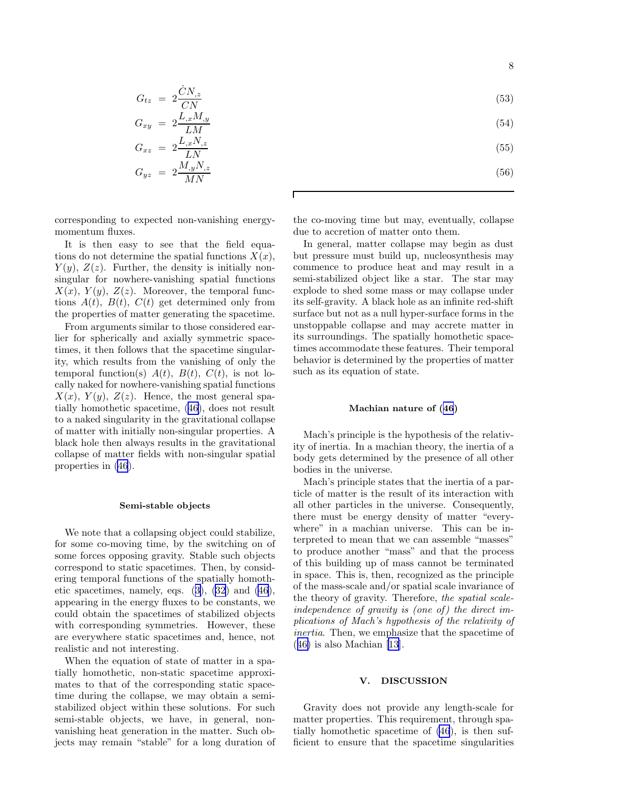8

$$
G_{tz} = 2\frac{\dot{C}N_{,z}}{CN} \tag{53}
$$

$$
(54)
$$

- (55)
	- (56)

corresponding to expected non-vanishing energymomentum fluxes.

 $G_{xy} = 2 \frac{L_{,x} M_{,y}}{L_{,M}}$ 

 $G_{xz} = 2\frac{L_{,x}N_{,z}}{LN}$ 

 $G_{yz} = 2 \frac{M_{,y} N_{,z}}{MN}$ 

LM

LN

MN

It is then easy to see that the field equations do not determine the spatial functions  $X(x)$ ,  $Y(y)$ ,  $Z(z)$ . Further, the density is initially nonsingular for nowhere-vanishing spatial functions  $X(x)$ ,  $Y(y)$ ,  $Z(z)$ . Moreover, the temporal functions  $A(t)$ ,  $B(t)$ ,  $C(t)$  get determined only from the properties of matter generating the spacetime.

From arguments similar to those considered earlier for spherically and axially symmetric spacetimes, it then follows that the spacetime singularity, which results from the vanishing of only the temporal function(s)  $A(t)$ ,  $B(t)$ ,  $C(t)$ , is not locally naked for nowhere-vanishing spatial functions  $X(x)$ ,  $Y(y)$ ,  $Z(z)$ . Hence, the most general spatially homothetic spacetime,([46\)](#page-6-0), does not result to a naked singularity in the gravitational collapse of matter with initially non-singular properties. A black hole then always results in the gravitational collapse of matter fields with non-singular spatial properties in [\(46](#page-6-0)).

## Semi-stable objects

We note that a collapsing object could stabilize, for some co-moving time, by the switching on of some forces opposing gravity. Stable such objects correspond to static spacetimes. Then, by considering temporal functions of the spatially homotheticspacetimes, namely, eqs.  $(3)$  $(3)$ ,  $(32)$  $(32)$  and  $(46)$ , appearing in the energy fluxes to be constants, we could obtain the spacetimes of stabilized objects with corresponding symmetries. However, these are everywhere static spacetimes and, hence, not realistic and not interesting.

When the equation of state of matter in a spatially homothetic, non-static spacetime approximates to that of the corresponding static spacetime during the collapse, we may obtain a semistabilized object within these solutions. For such semi-stable objects, we have, in general, nonvanishing heat generation in the matter. Such objects may remain "stable" for a long duration of the co-moving time but may, eventually, collapse due to accretion of matter onto them.

In general, matter collapse may begin as dust but pressure must build up, nucleosynthesis may commence to produce heat and may result in a semi-stabilized object like a star. The star may explode to shed some mass or may collapse under its self-gravity. A black hole as an infinite red-shift surface but not as a null hyper-surface forms in the unstoppable collapse and may accrete matter in its surroundings. The spatially homothetic spacetimes accommodate these features. Their temporal behavior is determined by the properties of matter such as its equation of state.

### Machian nature of([46](#page-6-0))

Mach's principle is the hypothesis of the relativity of inertia. In a machian theory, the inertia of a body gets determined by the presence of all other bodies in the universe.

Mach's principle states that the inertia of a particle of matter is the result of its interaction with all other particles in the universe. Consequently, there must be energy density of matter "everywhere" in a machian universe. This can be interpreted to mean that we can assemble "masses" to produce another "mass" and that the process of this building up of mass cannot be terminated in space. This is, then, recognized as the principle of the mass-scale and/or spatial scale invariance of the theory of gravity. Therefore, the spatial scaleindependence of gravity is (one of) the direct implications of Mach's hypothesis of the relativity of inertia. Then, we emphasize that the spacetime of ([46\)](#page-6-0) is also Machian[[13\]](#page-10-0).

### V. DISCUSSION

Gravity does not provide any length-scale for matter properties. This requirement, through spatially homothetic spacetime of [\(46](#page-6-0)), is then sufficient to ensure that the spacetime singularities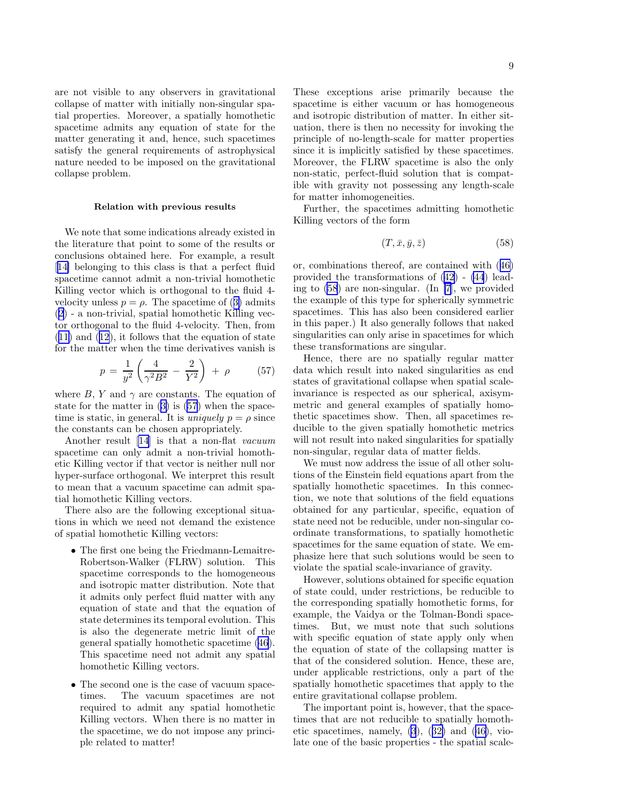are not visible to any observers in gravitational collapse of matter with initially non-singular spatial properties. Moreover, a spatially homothetic spacetime admits any equation of state for the matter generating it and, hence, such spacetimes satisfy the general requirements of astrophysical nature needed to be imposed on the gravitational collapse problem.

### Relation with previous results

We note that some indications already existed in the literature that point to some of the results or conclusions obtained here. For example, a result [[14\]](#page-10-0) belonging to this class is that a perfect fluid spacetime cannot admit a non-trivial homothetic Killing vector which is orthogonal to the fluid 4 velocityunless  $p = \rho$ . The spacetime of ([3\)](#page-2-0) admits ([2\)](#page-1-0) - a non-trivial, spatial homothetic Killing vector orthogonal to the fluid 4-velocity. Then, from ([11\)](#page-2-0) and [\(12](#page-2-0)), it follows that the equation of state for the matter when the time derivatives vanish is

$$
p = \frac{1}{y^2} \left( \frac{4}{\gamma^2 B^2} - \frac{2}{Y^2} \right) + \rho \tag{57}
$$

where B, Y and  $\gamma$  are constants. The equation of state for the matter in([3\)](#page-2-0) is (57) when the spacetime is static, in general. It is *uniquely*  $p = \rho$  since the constants can be chosen appropriately.

Another result [\[14](#page-10-0)] is that a non-flat vacuum spacetime can only admit a non-trivial homothetic Killing vector if that vector is neither null nor hyper-surface orthogonal. We interpret this result to mean that a vacuum spacetime can admit spatial homothetic Killing vectors.

There also are the following exceptional situations in which we need not demand the existence of spatial homothetic Killing vectors:

- The first one being the Friedmann-Lemaitre-Robertson-Walker (FLRW) solution. This spacetime corresponds to the homogeneous and isotropic matter distribution. Note that it admits only perfect fluid matter with any equation of state and that the equation of state determines its temporal evolution. This is also the degenerate metric limit of the general spatially homothetic spacetime [\(46](#page-6-0)). This spacetime need not admit any spatial homothetic Killing vectors.
- The second one is the case of vacuum space-<br>times. The vacuum spacetimes are not The vacuum spacetimes are not required to admit any spatial homothetic Killing vectors. When there is no matter in the spacetime, we do not impose any principle related to matter!

These exceptions arise primarily because the spacetime is either vacuum or has homogeneous and isotropic distribution of matter. In either situation, there is then no necessity for invoking the principle of no-length-scale for matter properties since it is implicitly satisfied by these spacetimes. Moreover, the FLRW spacetime is also the only non-static, perfect-fluid solution that is compatible with gravity not possessing any length-scale for matter inhomogeneities.

Further, the spacetimes admitting homothetic Killing vectors of the form

$$
(T, \bar{x}, \bar{y}, \bar{z}) \tag{58}
$$

or, combinations thereof, are contained with([46\)](#page-6-0) provided the transformations of([42\)](#page-6-0) - [\(44](#page-6-0)) leading to (58) are non-singular. (In [\[7](#page-10-0)], we provided the example of this type for spherically symmetric spacetimes. This has also been considered earlier in this paper.) It also generally follows that naked singularities can only arise in spacetimes for which these transformations are singular.

Hence, there are no spatially regular matter data which result into naked singularities as end states of gravitational collapse when spatial scaleinvariance is respected as our spherical, axisymmetric and general examples of spatially homothetic spacetimes show. Then, all spacetimes reducible to the given spatially homothetic metrics will not result into naked singularities for spatially non-singular, regular data of matter fields.

We must now address the issue of all other solutions of the Einstein field equations apart from the spatially homothetic spacetimes. In this connection, we note that solutions of the field equations obtained for any particular, specific, equation of state need not be reducible, under non-singular coordinate transformations, to spatially homothetic spacetimes for the same equation of state. We emphasize here that such solutions would be seen to violate the spatial scale-invariance of gravity.

However, solutions obtained for specific equation of state could, under restrictions, be reducible to the corresponding spatially homothetic forms, for example, the Vaidya or the Tolman-Bondi spacetimes. But, we must note that such solutions with specific equation of state apply only when the equation of state of the collapsing matter is that of the considered solution. Hence, these are, under applicable restrictions, only a part of the spatially homothetic spacetimes that apply to the entire gravitational collapse problem.

The important point is, however, that the spacetimes that are not reducible to spatially homotheticspacetimes, namely,  $(3)$ ,  $(32)$  $(32)$  and  $(46)$  $(46)$ , violate one of the basic properties - the spatial scale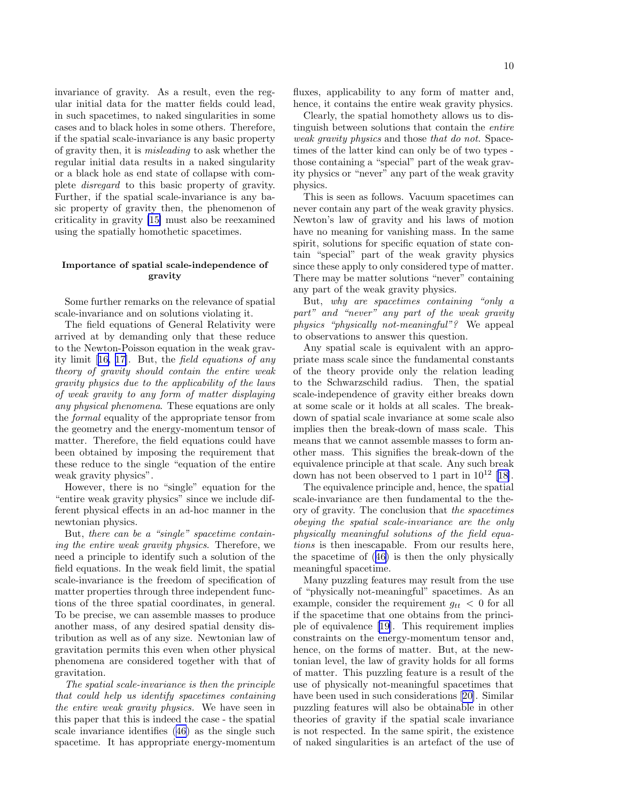invariance of gravity. As a result, even the regular initial data for the matter fields could lead, in such spacetimes, to naked singularities in some cases and to black holes in some others. Therefore, if the spatial scale-invariance is any basic property of gravity then, it is misleading to ask whether the regular initial data results in a naked singularity or a black hole as end state of collapse with complete disregard to this basic property of gravity. Further, if the spatial scale-invariance is any basic property of gravity then, the phenomenon of criticality in gravity [\[15\]](#page-10-0) must also be reexamined using the spatially homothetic spacetimes.

## Importance of spatial scale-independence of gravity

Some further remarks on the relevance of spatial scale-invariance and on solutions violating it.

The field equations of General Relativity were arrived at by demanding only that these reduce to the Newton-Poisson equation in the weak gravity limit[[16, 17\]](#page-11-0). But, the field equations of any theory of gravity should contain the entire weak gravity physics due to the applicability of the laws of weak gravity to any form of matter displaying any physical phenomena. These equations are only the formal equality of the appropriate tensor from the geometry and the energy-momentum tensor of matter. Therefore, the field equations could have been obtained by imposing the requirement that these reduce to the single "equation of the entire weak gravity physics".

However, there is no "single" equation for the "entire weak gravity physics" since we include different physical effects in an ad-hoc manner in the newtonian physics.

But, there can be a "single" spacetime containing the entire weak gravity physics. Therefore, we need a principle to identify such a solution of the field equations. In the weak field limit, the spatial scale-invariance is the freedom of specification of matter properties through three independent functions of the three spatial coordinates, in general. To be precise, we can assemble masses to produce another mass, of any desired spatial density distribution as well as of any size. Newtonian law of gravitation permits this even when other physical phenomena are considered together with that of gravitation.

The spatial scale-invariance is then the principle that could help us identify spacetimes containing the entire weak gravity physics. We have seen in this paper that this is indeed the case - the spatial scale invariance identifies([46\)](#page-6-0) as the single such spacetime. It has appropriate energy-momentum

fluxes, applicability to any form of matter and, hence, it contains the entire weak gravity physics.

Clearly, the spatial homothety allows us to distinguish between solutions that contain the entire weak gravity physics and those that do not. Spacetimes of the latter kind can only be of two types those containing a "special" part of the weak gravity physics or "never" any part of the weak gravity physics.

This is seen as follows. Vacuum spacetimes can never contain any part of the weak gravity physics. Newton's law of gravity and his laws of motion have no meaning for vanishing mass. In the same spirit, solutions for specific equation of state contain "special" part of the weak gravity physics since these apply to only considered type of matter. There may be matter solutions "never" containing any part of the weak gravity physics.

But, why are spacetimes containing "only a part" and "never" any part of the weak gravity physics "physically not-meaningful"? We appeal to observations to answer this question.

Any spatial scale is equivalent with an appropriate mass scale since the fundamental constants of the theory provide only the relation leading to the Schwarzschild radius. Then, the spatial scale-independence of gravity either breaks down at some scale or it holds at all scales. The breakdown of spatial scale invariance at some scale also implies then the break-down of mass scale. This means that we cannot assemble masses to form another mass. This signifies the break-down of the equivalence principle at that scale. Any such break down has not been observed to 1 part in  $10^{12}$  [[18\]](#page-11-0).

The equivalence principle and, hence, the spatial scale-invariance are then fundamental to the theory of gravity. The conclusion that the spacetimes obeying the spatial scale-invariance are the only physically meaningful solutions of the field equations is then inescapable. From our results here, the spacetime of([46\)](#page-6-0) is then the only physically meaningful spacetime.

Many puzzling features may result from the use of "physically not-meaningful" spacetimes. As an example, consider the requirement  $q_{tt} < 0$  for all if the spacetime that one obtains from the principle of equivalence[[19\]](#page-11-0). This requirement implies constraints on the energy-momentum tensor and, hence, on the forms of matter. But, at the newtonian level, the law of gravity holds for all forms of matter. This puzzling feature is a result of the use of physically not-meaningful spacetimes that have been used in such considerations[[20\]](#page-11-0). Similar puzzling features will also be obtainable in other theories of gravity if the spatial scale invariance is not respected. In the same spirit, the existence of naked singularities is an artefact of the use of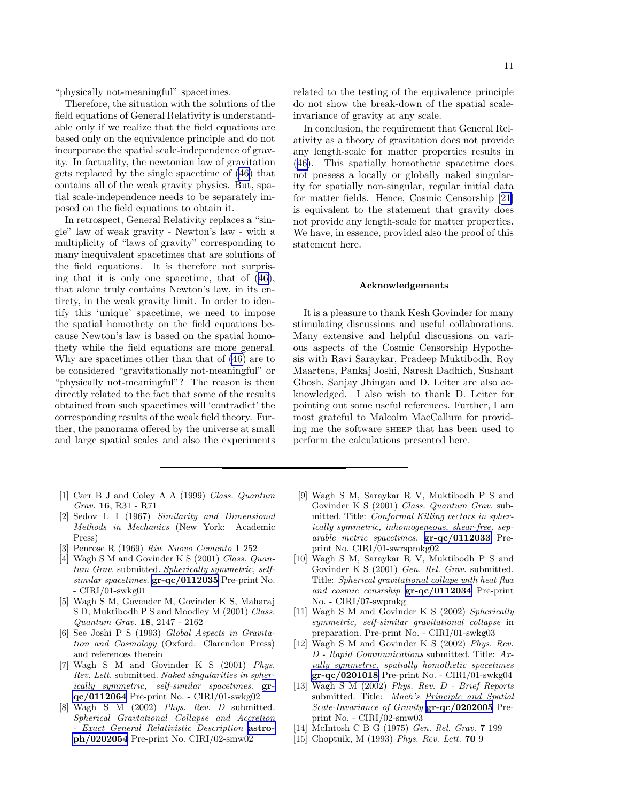<span id="page-10-0"></span>"physically not-meaningful" spacetimes.

Therefore, the situation with the solutions of the field equations of General Relativity is understandable only if we realize that the field equations are based only on the equivalence principle and do not incorporate the spatial scale-independence of gravity. In factuality, the newtonian law of gravitation gets replaced by the single spacetime of [\(46](#page-6-0)) that contains all of the weak gravity physics. But, spatial scale-independence needs to be separately imposed on the field equations to obtain it.

In retrospect, General Relativity replaces a "single" law of weak gravity - Newton's law - with a multiplicity of "laws of gravity" corresponding to many inequivalent spacetimes that are solutions of the field equations. It is therefore not surprising that it is only one spacetime, that of [\(46](#page-6-0)), that alone truly contains Newton's law, in its entirety, in the weak gravity limit. In order to identify this 'unique' spacetime, we need to impose the spatial homothety on the field equations because Newton's law is based on the spatial homothety while the field equations are more general. Why are spacetimes other than that of [\(46\)](#page-6-0) are to be considered "gravitationally not-meaningful" or "physically not-meaningful"? The reason is then directly related to the fact that some of the results obtained from such spacetimes will 'contradict' the corresponding results of the weak field theory. Further, the panorama offered by the universe at small and large spatial scales and also the experiments

- [1] Carr B J and Coley A A (1999) *Class. Quantum Grav.* 16, R31 - R71
- [2] Sedov L I (1967) *Similarity and Dimensional Methods in Mechanics* (New York: Academic Press)
- [3] Penrose R (1969) *Riv. Nuovo Cemento* 1 252
- [4] Wagh S M and Govinder K S (2001) *Class. Quantum Grav.* submitted. *Spherically symmetric, selfsimilar spacetimes*. [gr-qc/0112035](http://arxiv.org/abs/gr-qc/0112035) Pre-print No. - CIRI/01-swkg01
- [5] Wagh S M, Govender M, Govinder K S, Maharaj S D, Muktibodh P S and Moodley M (2001) *Class. Quantum Grav.* 18, 2147 - 2162
- [6] See Joshi P S (1993) *Global Aspects in Gravitation and Cosmology* (Oxford: Clarendon Press) and references therein
- [7] Wagh S M and Govinder K S (2001) *Phys. Rev. Lett.* submitted. *Naked singularities in spherically symmetric, self-similar spacetimes*. [gr](http://arxiv.org/abs/gr-qc/0112064)[qc/0112064](http://arxiv.org/abs/gr-qc/0112064) Pre-print No. - CIRI/01-swkg02
- [8] Wagh S M (2002) *Phys. Rev. D* submitted. *Spherical Gravtational Collapse and Accretion - Exact General Relativistic Description* [astro](http://arxiv.org/abs/astro-ph/0202054)[ph/0202054](http://arxiv.org/abs/astro-ph/0202054) Pre-print No. CIRI/02-smw02

related to the testing of the equivalence principle do not show the break-down of the spatial scaleinvariance of gravity at any scale.

In conclusion, the requirement that General Relativity as a theory of gravitation does not provide any length-scale for matter properties results in ([46\)](#page-6-0). This spatially homothetic spacetime does not possess a locally or globally naked singularity for spatially non-singular, regular initial data for matter fields. Hence, Cosmic Censorship[[21\]](#page-11-0) is equivalent to the statement that gravity does not provide any length-scale for matter properties. We have, in essence, provided also the proof of this statement here.

### Acknowledgements

It is a pleasure to thank Kesh Govinder for many stimulating discussions and useful collaborations. Many extensive and helpful discussions on various aspects of the Cosmic Censorship Hypothesis with Ravi Saraykar, Pradeep Muktibodh, Roy Maartens, Pankaj Joshi, Naresh Dadhich, Sushant Ghosh, Sanjay Jhingan and D. Leiter are also acknowledged. I also wish to thank D. Leiter for pointing out some useful references. Further, I am most grateful to Malcolm MacCallum for providing me the software SHEEP that has been used to perform the calculations presented here.

- [9] Wagh S M, Saraykar R V, Muktibodh P S and Govinder K S (2001) *Class. Quantum Grav.* submitted. Title: *Conformal Killing vectors in spherically symmetric, inhomogeneous, shear-free, separable metric spacetimes.* [gr-qc/0112033](http://arxiv.org/abs/gr-qc/0112033) Preprint No. CIRI/01-swrspmkg02
- [10] Wagh S M, Saraykar R V, Muktibodh P S and Govinder K S (2001) *Gen. Rel. Grav.* submitted. Title: *Spherical gravitational collape with heat flux and cosmic censrship* [gr-qc/0112034](http://arxiv.org/abs/gr-qc/0112034) Pre-print No. - CIRI/07-swpmkg
- [11] Wagh S M and Govinder K S (2002) *Spherically symmetric, self-similar gravitational collapse* in preparation. Pre-print No. - CIRI/01-swkg03
- [12] Wagh S M and Govinder K S (2002) *Phys. Rev. D - Rapid Communications* submitted. Title: *Axially symmetric, spatially homothetic spacetimes*  $gr-qc/0201018$  Pre-print No. - CIRI/01-swkg04
- [13] Wagh S M (2002) *Phys. Rev. D Brief Reports* submitted. Title: *Mach's Principle and Spatial Scale-Invariance of Gravity* [gr-qc/0202005](http://arxiv.org/abs/gr-qc/0202005) Preprint No. - CIRI/02-smw03
- [14] McIntosh C B G (1975) *Gen. Rel. Grav.* 7 199
- [15] Choptuik, M (1993) *Phys. Rev. Lett.* 70 9